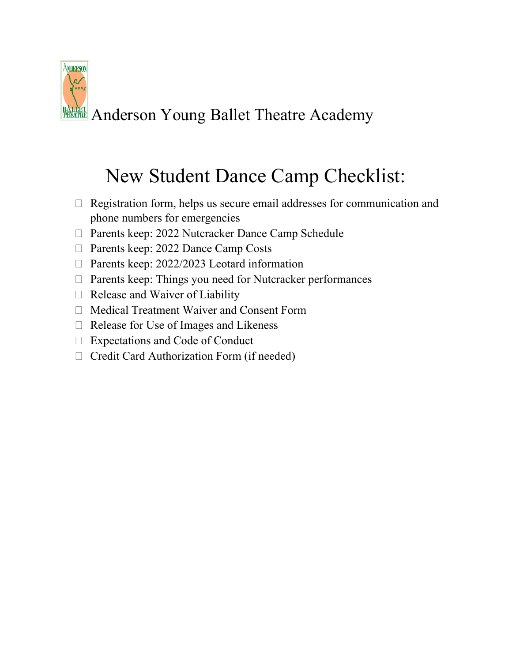

# New Student Dance Camp Checklist:

- $\Box$  Registration form, helps us secure email addresses for communication and phone numbers for emergencies
- □ Parents keep: 2022 Nutcracker Dance Camp Schedule
- □ Parents keep: 2022 Dance Camp Costs
- □ Parents keep: 2022/2023 Leotard information
- $\Box$  Parents keep: Things you need for Nutcracker performances
- $\Box$  Release and Waiver of Liability
- Medical Treatment Waiver and Consent Form
- $\Box$  Release for Use of Images and Likeness
- Expectations and Code of Conduct
- $\Box$  Credit Card Authorization Form (if needed)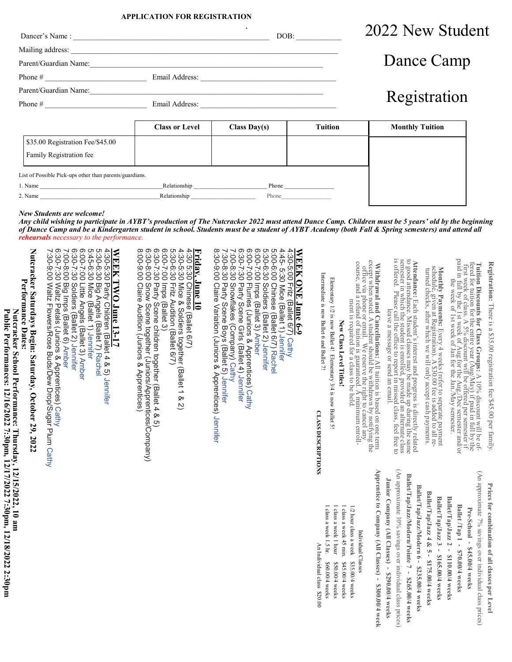# **APPLICATION FOR REGISTRATION**

**.** Dancer's Name : \_\_\_\_\_\_\_\_\_\_\_\_\_\_\_\_\_\_\_\_\_\_\_\_\_\_\_\_\_\_\_\_\_\_\_\_\_\_\_\_\_\_\_\_\_\_\_\_\_\_\_\_ DOB: \_\_\_\_\_\_\_\_\_\_\_\_

Parent/Guardian Name:\_\_\_\_\_\_\_\_\_\_\_\_\_\_\_\_\_\_\_\_\_\_\_\_\_\_\_\_\_\_\_\_\_\_\_\_\_\_\_\_\_\_\_\_\_\_\_\_\_\_\_\_\_\_\_\_\_\_\_\_\_\_

Mailing address: \_\_\_\_\_\_\_\_\_\_\_\_\_\_\_\_\_\_\_\_\_\_\_\_\_\_\_\_\_\_\_\_\_\_\_\_\_\_\_\_\_\_\_\_\_\_\_\_\_\_\_\_\_\_\_\_\_\_\_\_\_\_\_\_\_\_\_\_\_\_\_

# 2022 New Student

| Dance Camp |
|------------|
|------------|

Phone # \_\_\_\_\_\_\_\_\_\_\_\_\_\_\_\_\_\_\_\_\_\_\_\_\_\_\_ Email Address: \_\_\_\_\_\_\_\_\_\_\_\_\_\_\_\_\_\_\_\_\_\_\_\_\_\_\_\_\_\_\_\_\_\_\_\_

Parent/Guardian Name:\_\_\_\_\_\_\_\_\_\_\_\_\_\_\_\_\_\_\_\_\_\_\_\_\_\_\_\_\_\_\_\_\_\_\_\_\_\_\_\_\_\_\_\_\_\_\_\_\_\_\_\_\_\_\_\_\_\_\_\_\_\_ Phone # \_\_\_\_\_\_\_\_\_\_\_\_\_\_\_\_\_\_\_\_\_\_\_\_\_\_\_ Email Address: \_\_\_\_\_\_\_\_\_\_\_\_\_\_\_\_\_\_\_\_\_\_\_\_\_\_\_\_\_\_\_\_\_\_\_\_

| Registration |
|--------------|
|              |

|                                                             | <b>Class or Level</b> | Class Day(s) | Tuition | <b>Monthly Tuition</b> |
|-------------------------------------------------------------|-----------------------|--------------|---------|------------------------|
| \$35.00 Registration Fee/\$45.00<br>Family Registration fee |                       |              |         |                        |
| List of Possible Pick-ups other than parents/guardians.     |                       |              |         |                        |
| 1. Name                                                     | Relationship          | Phone        |         |                        |
| 2. Name                                                     | Relationship          | Phone        |         |                        |

*New Students are welcome!* 

 $\overline{\phantom{0}}$ 

**Public Performances: 12/16/2022 7:30pm, 12/17/2022 7:30pm, 12/18/2022 2:30pm**

Public Performances: 12/16/2022 7:30pm, 12/17/2022 7:30pm, 12/18/2022 2:30pm

 *Any child wishing to participate in AYBT's production of The Nutcracker 2022 must attend Dance Camp. Children must be 5 years' old by the beginning of Dance Camp and be a Kindergarten student in school. Students must be a student of AYBT Academy (both Fall & Spring semesters) and attend all rehearsals necessary to the performance.* 

|                                                                                                                      | Nutcracker Saturdays Begin: Saturday, October 29, 2022<br>Performance Dates:<br>Nutcracker School Performance: Thursday, 12/15/2022, 10 am                                                                                                                                                                                                                                                                                                                                           |
|----------------------------------------------------------------------------------------------------------------------|--------------------------------------------------------------------------------------------------------------------------------------------------------------------------------------------------------------------------------------------------------------------------------------------------------------------------------------------------------------------------------------------------------------------------------------------------------------------------------------|
|                                                                                                                      | 7:00-8:00 Big Imps (Ballet 6) Amber<br>6:30-7:30 Waltz Petals (Juniors & Apprentices) Cathy<br>7:30-9:00 Waltz Flowers/Rose Buds/Dew Drop/Sugar Plum Cathy<br>6:30-7:30 Soldiers (Ballet 2) Jennifer<br>WEEK TWO June 13-17<br>4:30-5:30 Party Children (Ballet 4 & 5) Jennifer<br>5:30-6:30 Big Angels (Ballet 7) Rachel<br>5:45-6:30 Mice (Ballet 1) Jennifer<br>6:00-7:00 Little Angels (Ballet 3) Amber<br>6:00-7:00 Little Angels (Ballet 3) Amb                                |
|                                                                                                                      | 6:30-8:00 Snow Scene together (Juniors/Apprentices/Company)<br>8:00-9:00 Claire Audition (Juniors & Apprentices)<br>6:30-7:30 Party Scene children together (Ballet 4 & 5)<br>6:00-7:00 lmps (Ballet 3)<br>4:30-5:30 Mice & Soldiers together (Ballet 1 & 2)<br>5:30-6:30 Fritz Audition (Ballet 6/7)<br><b>Friday, June 10<br/>4:30 5:30 Chinese (Ballet 6/7)</b>                                                                                                                   |
|                                                                                                                      | 8:30-9:00 Claire Variation (Juniors & Apprentices) Jennifer<br>7:00-8:30 Snowflakes (Company) Cathy<br>6:00-7:00 Flurries (Juniors & Apprentices) Cathy<br>6:30-7:30 Party Scene Girls (Ballet 4) Jennifer<br>6:00-7:00 Imps (Ballet 3) Amber<br>5:00-6:00 Chinese (Ballet 6/7) Rachel<br>5:30-6:30 Soldiers (Ballet 2) Jennifer<br>4:45- 5:30 Mice (Ballet 1) Jennifer<br>4:30-5:00 Fritz (Ballet 6/7) Cathy<br>WEEK ONE June 6-9<br>7:30-8:30 Party Scene Boys (Ballet 5) Jennifer |
| 1 class a week 1.5 hr.<br>1 class a week 1 hour<br>An Individual class \$20.00<br>\$50.00/4 weeks<br>\$60.00/4 weeks | Intermediate is now Ballet 6 and Ballet 7!<br>Elementary 1/2 is now Ballet 4! Elementary $3/4$ is now Ballet 5!<br><b>CLASS DESCRIPTIONS</b>                                                                                                                                                                                                                                                                                                                                         |
| 1 class a week 45 min.<br>1/2 hour class a week<br>\$35.00/4 weeks<br>\$45.00/4 weeks                                | New Class Level Titles!                                                                                                                                                                                                                                                                                                                                                                                                                                                              |
| Apprentice to Company (All Classes) - \$300.00/4 week<br>Individual Classes                                          | Withdrawal and Cancellations: All tuition is based on one term<br>except when and Cancellations: All tuition is based on one term<br>except when phone or email. We rester the right to cancel any the<br>course, and a refund of tuit                                                                                                                                                                                                                                               |
| Junior Company (All Classes) - \$290.00/4 weeks                                                                      |                                                                                                                                                                                                                                                                                                                                                                                                                                                                                      |
| (An approximate 10% savings over individual class prices)                                                            | <b>Attendance:</b> Each student's interest and progress is directly related to good time which the student is expected in which the student is essually provide up all all all strates of the student is experient and the student                                                                                                                                                                                                                                                   |
| Ballet/Tap/Jazz/Modern/Pointe 7 - \$265.00/4 weeks<br>Ballet/Tap/Jazz/Modern 6 - \$235.00/4 weeks                    |                                                                                                                                                                                                                                                                                                                                                                                                                                                                                      |
| Ballet/Tap/Jazz 4 & 5 - $$175.00/4$ weeks<br>Ballet/Tap/Jazz 3 - \$165.00/4 weeks                                    | <b>Monthly Payments:</b> Every 4 weeks (refer to separate payment schedule, given at Registration). A $530.00$ fee is added to all reschedule, given at Registration). A $530.00$ fee is added to all re-<br>turned checks, after whi                                                                                                                                                                                                                                                |
| Ballet/Tap/Jazz 2 - \$110.00/4 weeks                                                                                 |                                                                                                                                                                                                                                                                                                                                                                                                                                                                                      |
| Ballet /Tap 1 - \$70.00/4 weeks                                                                                      |                                                                                                                                                                                                                                                                                                                                                                                                                                                                                      |
| (An approximate 7% savings over individual class prices)<br>Pre-School - \$45.00/4 weeks                             | <b>Tuition Discounts for Class Groups:</b> A 10% discount will be of-<br>freed veek of class. A 5% discount of the best of the street in the of-<br>freed veek of class. A 5% discount (All be offer per sense<br>ter if add by the 1st wee                                                                                                                                                                                                                                          |
| Prices for combination of all classes per Level                                                                      | Registration: There is a \$35.00 registration fee/\$45.00 per family                                                                                                                                                                                                                                                                                                                                                                                                                 |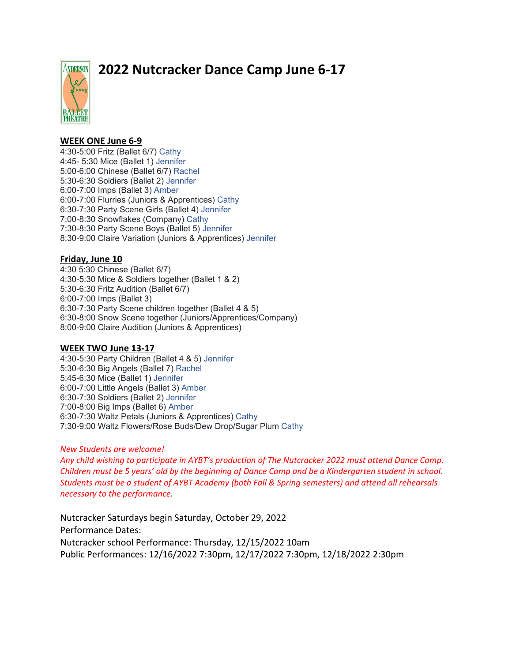**NDERSON** 

# **2022 Nutcracker Dance Camp June 6-17**

# **WEEK ONE June 6-9**

4:30-5:00 Fritz (Ballet 6/7) Cathy 4:45- 5:30 Mice (Ballet 1) Jennifer 5:00-6:00 Chinese (Ballet 6/7) Rachel 5:30-6:30 Soldiers (Ballet 2) Jennifer 6:00-7:00 Imps (Ballet 3) Amber 6:00-7:00 Flurries (Juniors & Apprentices) Cathy 6:30-7:30 Party Scene Girls (Ballet 4) Jennifer 7:00-8:30 Snowflakes (Company) Cathy 7:30-8:30 Party Scene Boys (Ballet 5) Jennifer 8:30-9:00 Claire Variation (Juniors & Apprentices) Jennifer

# **Friday, June 10**

4:30 5:30 Chinese (Ballet 6/7) 4:30-5:30 Mice & Soldiers together (Ballet 1 & 2) 5:30-6:30 Fritz Audition (Ballet 6/7) 6:00-7:00 Imps (Ballet 3) 6:30-7:30 Party Scene children together (Ballet 4 & 5) 6:30-8:00 Snow Scene together (Juniors/Apprentices/Company) 8:00-9:00 Claire Audition (Juniors & Apprentices)

# **WEEK TWO June 13-17**

4:30-5:30 Party Children (Ballet 4 & 5) Jennifer 5:30-6:30 Big Angels (Ballet 7) Rachel 5:45-6:30 Mice (Ballet 1) Jennifer 6:00-7:00 Little Angels (Ballet 3) Amber 6:30-7:30 Soldiers (Ballet 2) Jennifer 7:00-8:00 Big Imps (Ballet 6) Amber 6:30-7:30 Waltz Petals (Juniors & Apprentices) Cathy 7:30-9:00 Waltz Flowers/Rose Buds/Dew Drop/Sugar Plum Cathy

# *New Students are welcome!*

*Any child wishing to participate in AYBT's production of The Nutcracker 2022 must attend Dance Camp. Children must be 5 years' old by the beginning of Dance Camp and be a Kindergarten student in school. Students must be a student of AYBT Academy (both Fall & Spring semesters) and attend all rehearsals necessary to the performance.*

Nutcracker Saturdays begin Saturday, October 29, 2022 Performance Dates: Nutcracker school Performance: Thursday, 12/15/2022 10am Public Performances: 12/16/2022 7:30pm, 12/17/2022 7:30pm, 12/18/2022 2:30pm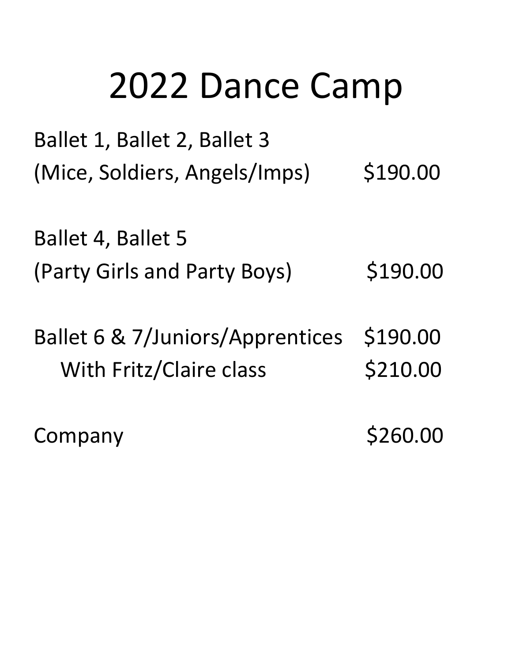# 2022 Dance Camp

Ballet 1, Ballet 2, Ballet 3 (Mice, Soldiers, Angels/Imps) \$190.00

Ballet 4, Ballet 5 (Party Girls and Party Boys) \$190.00

Ballet 6 & 7/Juniors/Apprentices \$190.00 With Fritz/Claire class \$210.00

Company \$260.00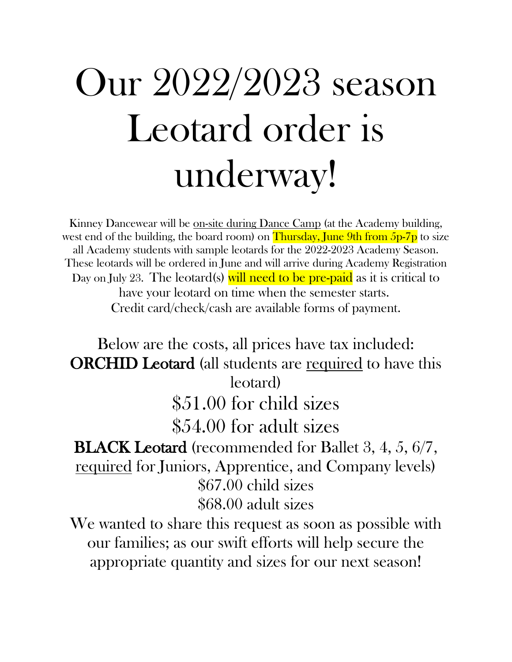# Our 2022/2023 season Leotard order is underway!

Kinney Dancewear will be on-site during Dance Camp (at the Academy building, west end of the building, the board room) on Thursday, June 9th from  $5p-7p$  to size all Academy students with sample leotards for the 2022-2023 Academy Season. These leotards will be ordered in June and will arrive during Academy Registration Day on July 23. The leotard(s) will need to be pre-paid as it is critical to have your leotard on time when the semester starts. Credit card/check/cash are available forms of payment.

Below are the costs, all prices have tax included: ORCHID Leotard (all students are required to have this leotard) \$51.00 for child sizes \$54.00 for adult sizes **BLACK Leotard** (recommended for Ballet 3, 4, 5, 6/7, required for Juniors, Apprentice, and Company levels) \$67.00 child sizes \$68.00 adult sizes

We wanted to share this request as soon as possible with our families; as our swift efforts will help secure the appropriate quantity and sizes for our next season!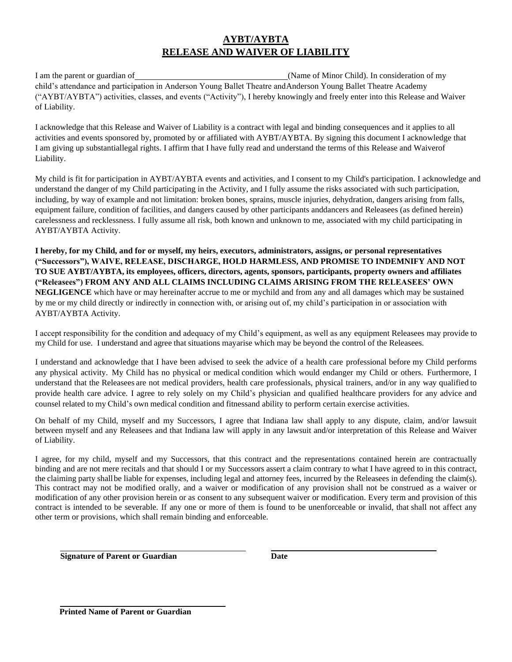# **AYBT/AYBTA RELEASE AND WAIVER OF LIABILITY**

I am the parent or guardian of (Name of Minor Child). In consideration of my child's attendance and participation in Anderson Young Ballet Theatre andAnderson Young Ballet Theatre Academy ("AYBT/AYBTA") activities, classes, and events ("Activity"), I hereby knowingly and freely enter into this Release and Waiver of Liability.

I acknowledge that this Release and Waiver of Liability is a contract with legal and binding consequences and it applies to all activities and events sponsored by, promoted by or affiliated with AYBT/AYBTA. By signing this document I acknowledge that I am giving up substantiallegal rights. I affirm that I have fully read and understand the terms of this Release and Waiverof Liability.

My child is fit for participation in AYBT/AYBTA events and activities, and I consent to my Child's participation. I acknowledge and understand the danger of my Child participating in the Activity, and I fully assume the risks associated with such participation, including, by way of example and not limitation: broken bones, sprains, muscle injuries, dehydration, dangers arising from falls, equipment failure, condition of facilities, and dangers caused by other participants anddancers and Releasees (as defined herein) carelessness and recklessness. I fully assume all risk, both known and unknown to me, associated with my child participating in AYBT/AYBTA Activity.

**I hereby, for my Child, and for or myself, my heirs, executors, administrators, assigns, or personal representatives ("Successors"), WAIVE, RELEASE, DISCHARGE, HOLD HARMLESS, AND PROMISE TO INDEMNIFY AND NOT TO SUE AYBT/AYBTA, its employees, officers, directors, agents, sponsors, participants, property owners and affiliates ("Releasees") FROM ANY AND ALL CLAIMS INCLUDING CLAIMS ARISING FROM THE RELEASEES' OWN NEGLIGENCE** which have or may hereinafter accrue to me or mychild and from any and all damages which may be sustained by me or my child directly or indirectly in connection with, or arising out of, my child's participation in or association with AYBT/AYBTA Activity.

I accept responsibility for the condition and adequacy of my Child's equipment, as well as any equipment Releasees may provide to my Child for use. I understand and agree that situations mayarise which may be beyond the control of the Releasees.

I understand and acknowledge that I have been advised to seek the advice of a health care professional before my Child performs any physical activity. My Child has no physical or medical condition which would endanger my Child or others. Furthermore, I understand that the Releasees are not medical providers, health care professionals, physical trainers, and/or in any way qualified to provide health care advice. I agree to rely solely on my Child's physician and qualified healthcare providers for any advice and counsel related to my Child's own medical condition and fitnessand ability to perform certain exercise activities.

On behalf of my Child, myself and my Successors, I agree that Indiana law shall apply to any dispute, claim, and/or lawsuit between myself and any Releasees and that Indiana law will apply in any lawsuit and/or interpretation of this Release and Waiver of Liability.

I agree, for my child, myself and my Successors, that this contract and the representations contained herein are contractually binding and are not mere recitals and that should I or my Successors assert a claim contrary to what I have agreed to in this contract, the claiming party shallbe liable for expenses, including legal and attorney fees, incurred by the Releasees in defending the claim(s). This contract may not be modified orally, and a waiver or modification of any provision shall not be construed as a waiver or modification of any other provision herein or as consent to any subsequent waiver or modification. Every term and provision of this contract is intended to be severable. If any one or more of them is found to be unenforceable or invalid, that shall not affect any other term or provisions, which shall remain binding and enforceable.

 **Signature of Parent or Guardian Date**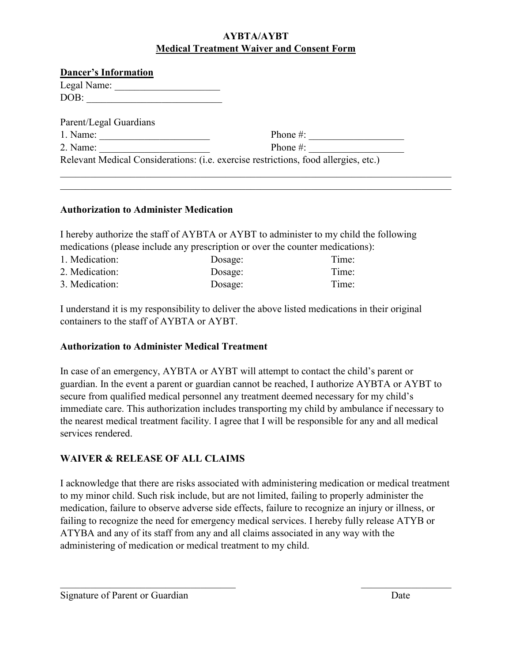# **AYBTA/AYBT Medical Treatment Waiver and Consent Form**

| <b>Dancer's Information</b> |                                                                                     |
|-----------------------------|-------------------------------------------------------------------------------------|
| Legal Name:                 |                                                                                     |
| DOB:                        |                                                                                     |
| Parent/Legal Guardians      |                                                                                     |
| 1. Name:                    | Phone $\#$ :                                                                        |
| 2. Name:                    | Phone $#$ :                                                                         |
|                             | Relevant Medical Considerations: (i.e. exercise restrictions, food allergies, etc.) |

# **Authorization to Administer Medication**

I hereby authorize the staff of AYBTA or AYBT to administer to my child the following medications (please include any prescription or over the counter medications):

| 1. Medication: | Dosage: | Time: |
|----------------|---------|-------|
| 2. Medication: | Dosage: | Time: |
| 3. Medication: | Dosage: | Time: |

I understand it is my responsibility to deliver the above listed medications in their original containers to the staff of AYBTA or AYBT.

# **Authorization to Administer Medical Treatment**

In case of an emergency, AYBTA or AYBT will attempt to contact the child's parent or guardian. In the event a parent or guardian cannot be reached, I authorize AYBTA or AYBT to secure from qualified medical personnel any treatment deemed necessary for my child's immediate care. This authorization includes transporting my child by ambulance if necessary to the nearest medical treatment facility. I agree that I will be responsible for any and all medical services rendered.

# **WAIVER & RELEASE OF ALL CLAIMS**

I acknowledge that there are risks associated with administering medication or medical treatment to my minor child. Such risk include, but are not limited, failing to properly administer the medication, failure to observe adverse side effects, failure to recognize an injury or illness, or failing to recognize the need for emergency medical services. I hereby fully release ATYB or ATYBA and any of its staff from any and all claims associated in any way with the administering of medication or medical treatment to my child.

 $\mathcal{L}_\text{max}$  , and the contract of the contract of the contract of the contract of the contract of the contract of the contract of the contract of the contract of the contract of the contract of the contract of the contr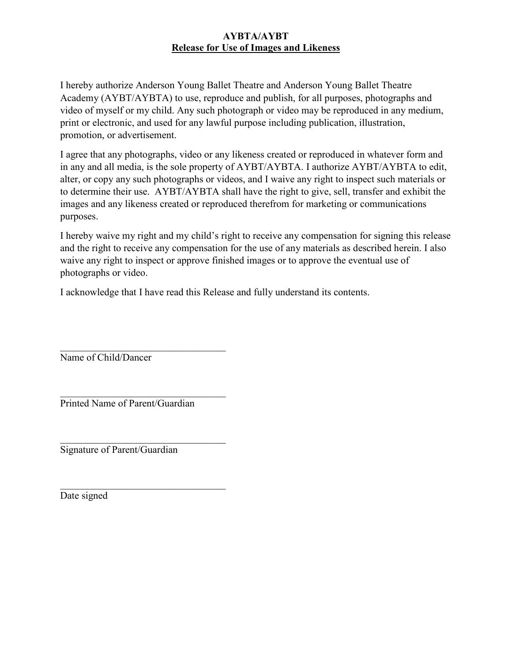# **AYBTA/AYBT Release for Use of Images and Likeness**

I hereby authorize Anderson Young Ballet Theatre and Anderson Young Ballet Theatre Academy (AYBT/AYBTA) to use, reproduce and publish, for all purposes, photographs and video of myself or my child. Any such photograph or video may be reproduced in any medium, print or electronic, and used for any lawful purpose including publication, illustration, promotion, or advertisement.

I agree that any photographs, video or any likeness created or reproduced in whatever form and in any and all media, is the sole property of AYBT/AYBTA. I authorize AYBT/AYBTA to edit, alter, or copy any such photographs or videos, and I waive any right to inspect such materials or to determine their use. AYBT/AYBTA shall have the right to give, sell, transfer and exhibit the images and any likeness created or reproduced therefrom for marketing or communications purposes.

I hereby waive my right and my child's right to receive any compensation for signing this release and the right to receive any compensation for the use of any materials as described herein. I also waive any right to inspect or approve finished images or to approve the eventual use of photographs or video.

I acknowledge that I have read this Release and fully understand its contents.

 $\mathcal{L}_\mathcal{L}$  , where  $\mathcal{L}_\mathcal{L}$  , we have the set of the set of the set of the set of the set of the set of the set of the set of the set of the set of the set of the set of the set of the set of the set of the set Name of Child/Dancer

Printed Name of Parent/Guardian

 $\mathcal{L}_\mathcal{L}$  , where  $\mathcal{L}_\mathcal{L}$  , we have the set of the set of the set of the set of the set of the set of the set of the set of the set of the set of the set of the set of the set of the set of the set of the set

Signature of Parent/Guardian

Date signed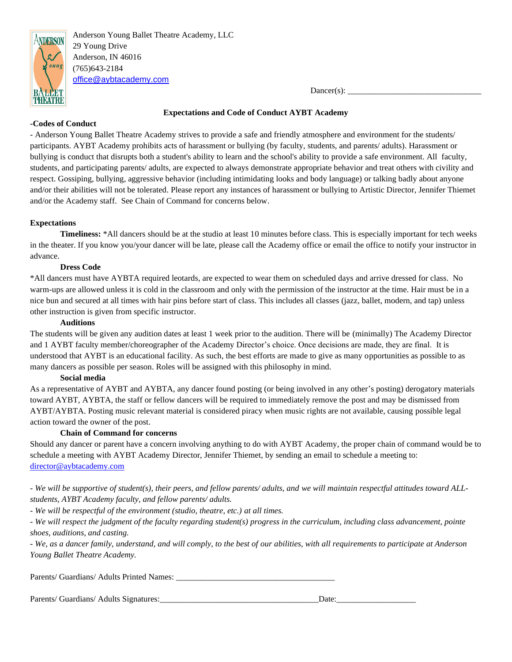

Anderson Young Ballet Theatre Academy, LLC 29 Young Drive Anderson, IN 46016 (765)643-2184 [office@aybtacademy.com](mailto:office@aybtacademy.com)

 $Dancer(s):$ 

#### **Expectations and Code of Conduct AYBT Academy**

#### **-Codes of Conduct**

- Anderson Young Ballet Theatre Academy strives to provide a safe and friendly atmosphere and environment for the students/ participants. AYBT Academy prohibits acts of harassment or bullying (by faculty, students, and parents/ adults). Harassment or bullying is conduct that disrupts both a student's ability to learn and the school's ability to provide a safe environment. All faculty, students, and participating parents/ adults, are expected to always demonstrate appropriate behavior and treat others with civility and respect. Gossiping, bullying, aggressive behavior (including intimidating looks and body language) or talking badly about anyone and/or their abilities will not be tolerated. Please report any instances of harassment or bullying to Artistic Director, Jennifer Thiemet and/or the Academy staff. See Chain of Command for concerns below.

#### **Expectations**

**Timeliness:** \*All dancers should be at the studio at least 10 minutes before class. This is especially important for tech weeks in the theater. If you know you/your dancer will be late, please call the Academy office or email the office to notify your instructor in advance.

#### **Dress Code**

\*All dancers must have AYBTA required leotards, are expected to wear them on scheduled days and arrive dressed for class. No warm-ups are allowed unless it is cold in the classroom and only with the permission of the instructor at the time. Hair must be in a nice bun and secured at all times with hair pins before start of class. This includes all classes (jazz, ballet, modern, and tap) unless other instruction is given from specific instructor.

#### **Auditions**

The students will be given any audition dates at least 1 week prior to the audition. There will be (minimally) The Academy Director and 1 AYBT faculty member/choreographer of the Academy Director's choice. Once decisions are made, they are final. It is understood that AYBT is an educational facility. As such, the best efforts are made to give as many opportunities as possible to as many dancers as possible per season. Roles will be assigned with this philosophy in mind.

#### **Social media**

As a representative of AYBT and AYBTA, any dancer found posting (or being involved in any other's posting) derogatory materials toward AYBT, AYBTA, the staff or fellow dancers will be required to immediately remove the post and may be dismissed from AYBT/AYBTA. Posting music relevant material is considered piracy when music rights are not available, causing possible legal action toward the owner of the post.

# **Chain of Command for concerns**

Should any dancer or parent have a concern involving anything to do with AYBT Academy, the proper chain of command would be to schedule a meeting with AYBT Academy Director, Jennifer Thiemet, by sending an email to schedule a meeting to: [director@aybtacademy.com](mailto:director@aybtacademy.com)

*- We will be supportive of student(s), their peers, and fellow parents/ adults, and we will maintain respectful attitudes toward ALLstudents, AYBT Academy faculty, and fellow parents/ adults.*

*- We will be respectful of the environment (studio, theatre, etc.) at all times.* 

*- We will respect the judgment of the faculty regarding student(s) progress in the curriculum, including class advancement, pointe shoes, auditions, and casting.*

*- We, as a dancer family, understand, and will comply, to the best of our abilities, with all requirements to participate at Anderson Young Ballet Theatre Academy.*

Parents/ Guardians/ Adults Printed Names: \_\_\_\_\_\_\_\_\_\_\_\_\_\_\_\_\_\_\_\_\_\_\_\_\_\_\_\_\_\_\_\_\_\_\_\_\_\_

#### Parents/ Guardians/ Adults Signatures:\_\_\_\_\_\_\_\_\_\_\_\_\_\_\_\_\_\_\_\_\_\_\_\_\_\_\_\_\_\_\_\_\_\_\_\_\_\_Date:\_\_\_\_\_\_\_\_\_\_\_\_\_\_\_\_\_\_\_